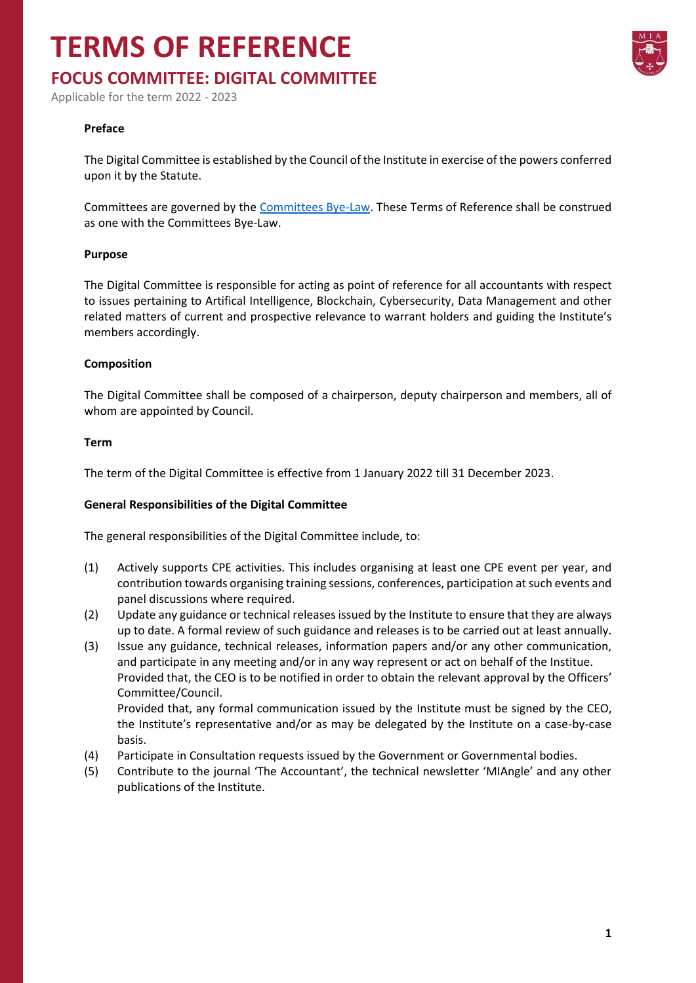# **TERMS OF REFERENCE**

### **FOCUS COMMITTEE: DIGITAL COMMITTEE**

Applicable for the term 2022 - 2023

#### **Preface**

The Digital Committee is established by the Council of the Institute in exercise of the powers conferred upon it by the Statute.

Committees are governed by the [Committees Bye-Law.](https://www.miamalta.org/Statute-and-Bye-Laws) These Terms of Reference shall be construed as one with the Committees Bye-Law.

#### **Purpose**

The Digital Committee is responsible for acting as point of reference for all accountants with respect to issues pertaining to Artifical Intelligence, Blockchain, Cybersecurity, Data Management and other related matters of current and prospective relevance to warrant holders and guiding the Institute's members accordingly.

#### **Composition**

The Digital Committee shall be composed of a chairperson, deputy chairperson and members, all of whom are appointed by Council.

#### **Term**

The term of the Digital Committee is effective from 1 January 2022 till 31 December 2023.

#### **General Responsibilities of the Digital Committee**

The general responsibilities of the Digital Committee include, to:

- (1) Actively supports CPE activities. This includes organising at least one CPE event per year, and contribution towards organising training sessions, conferences, participation at such events and panel discussions where required.
- (2) Update any guidance or technical releases issued by the Institute to ensure that they are always up to date. A formal review of such guidance and releases is to be carried out at least annually.
- (3) Issue any guidance, technical releases, information papers and/or any other communication, and participate in any meeting and/or in any way represent or act on behalf of the Institue. Provided that, the CEO is to be notified in order to obtain the relevant approval by the Officers' Committee/Council. Provided that, any formal communication issued by the Institute must be signed by the CEO,
	- the Institute's representative and/or as may be delegated by the Institute on a case-by-case basis.
- (4) Participate in Consultation requests issued by the Government or Governmental bodies.
- (5) Contribute to the journal 'The Accountant', the technical newsletter 'MIAngle' and any other publications of the Institute.